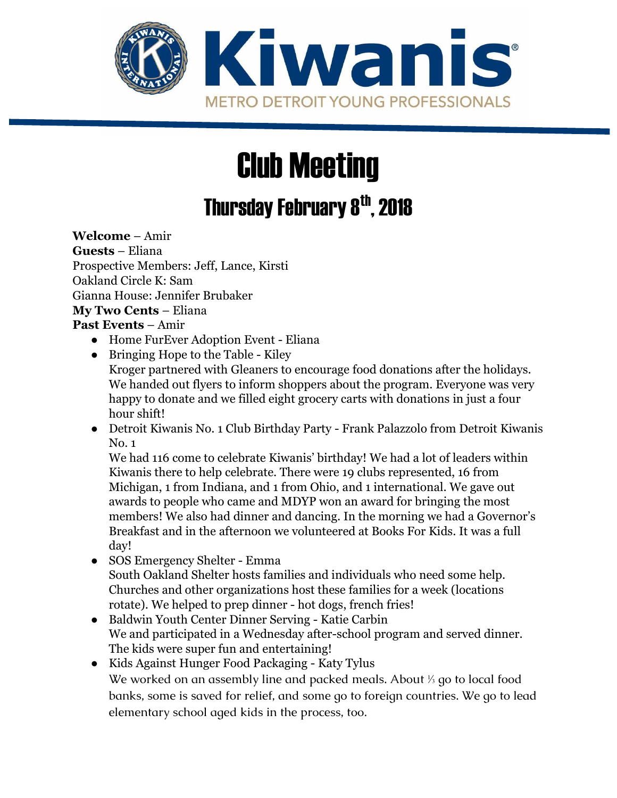

# Club Meeting

# Thursday February 8<sup>th</sup>, 2018

**Welcome** – Amir **Guests** – Eliana Prospective Members: Jeff, Lance, Kirsti Oakland Circle K: Sam Gianna House: Jennifer Brubaker **My Two Cents** – Eliana

#### **Past Events** – Amir

- Home FurEver Adoption Event Eliana
- Bringing Hope to the Table Kiley Kroger partnered with Gleaners to encourage food donations after the holidays. We handed out flyers to inform shoppers about the program. Everyone was very happy to donate and we filled eight grocery carts with donations in just a four hour shift!
- Detroit Kiwanis No. 1 Club Birthday Party Frank Palazzolo from Detroit Kiwanis No. 1

We had 116 come to celebrate Kiwanis' birthday! We had a lot of leaders within Kiwanis there to help celebrate. There were 19 clubs represented, 16 from Michigan, 1 from Indiana, and 1 from Ohio, and 1 international. We gave out awards to people who came and MDYP won an award for bringing the most members! We also had dinner and dancing. In the morning we had a Governor's Breakfast and in the afternoon we volunteered at Books For Kids. It was a full day!

- SOS Emergency Shelter Emma South Oakland Shelter hosts families and individuals who need some help. Churches and other organizations host these families for a week (locations rotate). We helped to prep dinner - hot dogs, french fries!
- Baldwin Youth Center Dinner Serving Katie Carbin We and participated in a Wednesday after-school program and served dinner. The kids were super fun and entertaining!
- Kids Against Hunger Food Packaging Katy Tylus We worked on an assembly line and packed meals. About ⅓ go to local food banks, some is saved for relief, and some go to foreign countries. We go to lead elementary school aged kids in the process, too.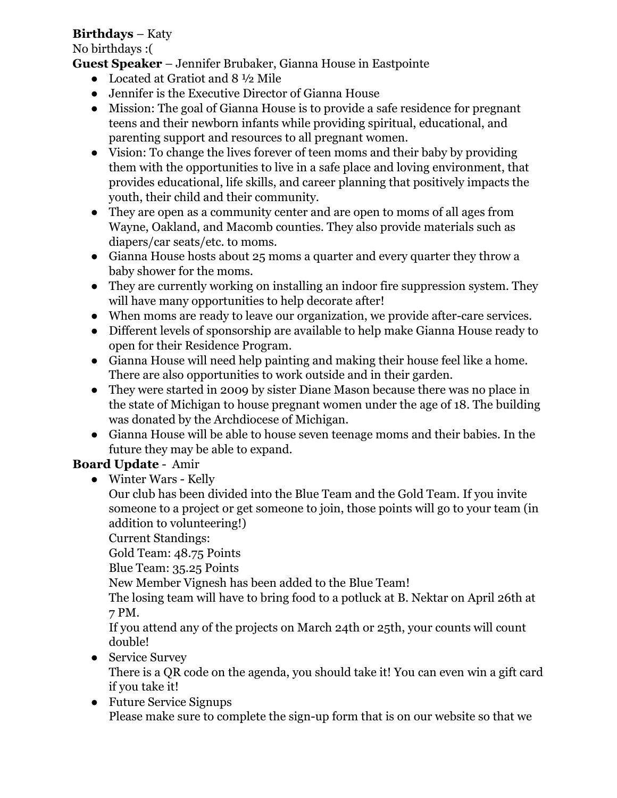#### **Birthdays** – Katy

No birthdays :(

- **Guest Speaker** Jennifer Brubaker, Gianna House in Eastpointe
	- Located at Gratiot and 8 ½ Mile
	- Jennifer is the Executive Director of Gianna House
	- Mission: The goal of Gianna House is to provide a safe residence for pregnant teens and their newborn infants while providing spiritual, educational, and parenting support and resources to all pregnant women.
	- Vision: To change the lives forever of teen moms and their baby by providing them with the opportunities to live in a safe place and loving environment, that provides educational, life skills, and career planning that positively impacts the youth, their child and their community.
	- They are open as a community center and are open to moms of all ages from Wayne, Oakland, and Macomb counties. They also provide materials such as diapers/car seats/etc. to moms.
	- Gianna House hosts about 25 moms a quarter and every quarter they throw a baby shower for the moms.
	- They are currently working on installing an indoor fire suppression system. They will have many opportunities to help decorate after!
	- When moms are ready to leave our organization, we provide after-care services.
	- Different levels of sponsorship are available to help make Gianna House ready to open for their Residence Program.
	- Gianna House will need help painting and making their house feel like a home. There are also opportunities to work outside and in their garden.
	- They were started in 2009 by sister Diane Mason because there was no place in the state of Michigan to house pregnant women under the age of 18. The building was donated by the Archdiocese of Michigan.
	- Gianna House will be able to house seven teenage moms and their babies. In the future they may be able to expand.

# **Board Update** - Amir

● Winter Wars - Kelly

Our club has been divided into the Blue Team and the Gold Team. If you invite someone to a project or get someone to join, those points will go to your team (in addition to volunteering!)

Current Standings:

Gold Team: 48.75 Points

Blue Team: 35.25 Points

New Member Vignesh has been added to the Blue Team!

The losing team will have to bring food to a potluck at B. Nektar on April 26th at 7 PM.

If you attend any of the projects on March 24th or 25th, your counts will count double!

● Service Survey

There is a QR code on the agenda, you should take it! You can even win a gift card if you take it!

● Future Service Signups Please make sure to complete the sign-up form that is on our website so that we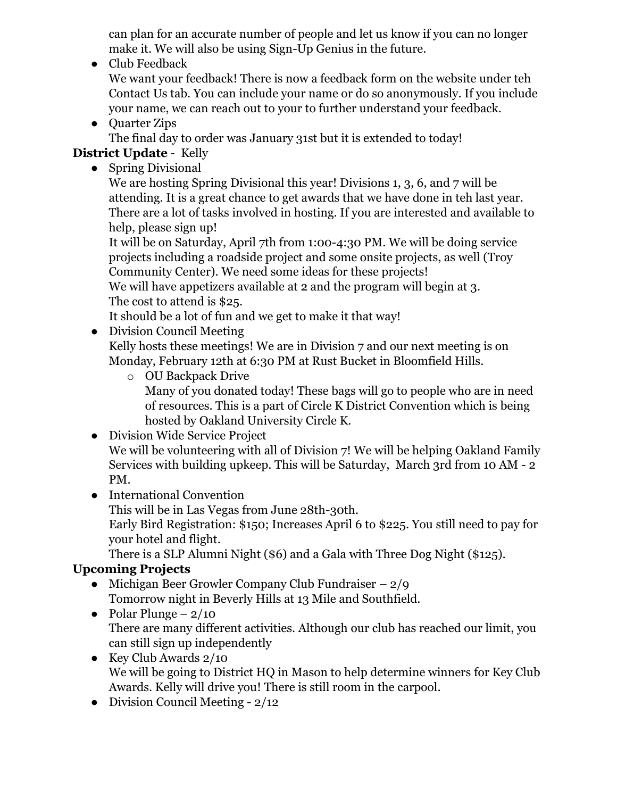can plan for an accurate number of people and let us know if you can no longer make it. We will also be using Sign-Up Genius in the future.

● Club Feedback

We want your feedback! There is now a feedback form on the website under teh Contact Us tab. You can include your name or do so anonymously. If you include your name, we can reach out to your to further understand your feedback.

● Ouarter Zips

The final day to order was January 31st but it is extended to today!

### **District Update** - Kelly

• Spring Divisional

We are hosting Spring Divisional this year! Divisions 1, 3, 6, and 7 will be attending. It is a great chance to get awards that we have done in teh last year. There are a lot of tasks involved in hosting. If you are interested and available to help, please sign up!

It will be on Saturday, April 7th from 1:00-4:30 PM. We will be doing service projects including a roadside project and some onsite projects, as well (Troy Community Center). We need some ideas for these projects!

We will have appetizers available at 2 and the program will begin at 3. The cost to attend is \$25.

It should be a lot of fun and we get to make it that way!

• Division Council Meeting

Kelly hosts these meetings! We are in Division 7 and our next meeting is on Monday, February 12th at 6:30 PM at Rust Bucket in Bloomfield Hills.

- o OU Backpack Drive Many of you donated today! These bags will go to people who are in need of resources. This is a part of Circle K District Convention which is being hosted by Oakland University Circle K.
- Division Wide Service Project

We will be volunteering with all of Division 7! We will be helping Oakland Family Services with building upkeep. This will be Saturday, March 3rd from 10 AM - 2 PM.

● International Convention

This will be in Las Vegas from June 28th-30th.

Early Bird Registration: \$150; Increases April 6 to \$225. You still need to pay for your hotel and flight.

There is a SLP Alumni Night (\$6) and a Gala with Three Dog Night (\$125).

# **Upcoming Projects**

- Michigan Beer Growler Company Club Fundraiser  $-2/9$ Tomorrow night in Beverly Hills at 13 Mile and Southfield.
- Polar Plunge  $2/10$ There are many different activities. Although our club has reached our limit, you can still sign up independently
- Key Club Awards  $2/10$ We will be going to District HQ in Mason to help determine winners for Key Club Awards. Kelly will drive you! There is still room in the carpool.
- Division Council Meeting  $-2/12$